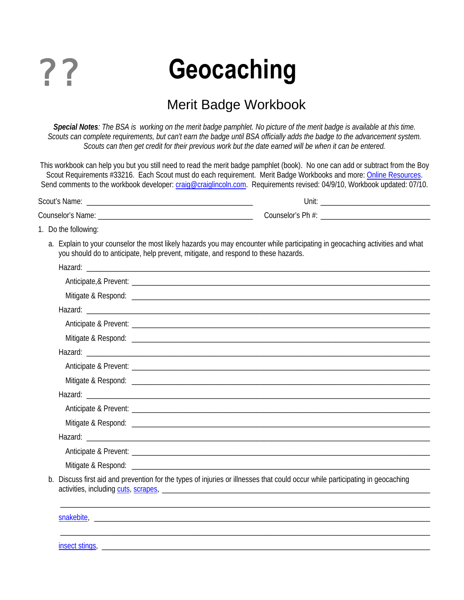

# **Geocaching**

# Merit Badge Workbook

*Special Notes: The BSA is working on the merit badge pamphlet. No picture of the merit badge is available at this time. Scouts can complete requirements, but can't earn the badge until BSA officially adds the badge to the advancement system. Scouts can then get credit for their previous work but the date earned will be when it can be entered.* 

This workbook can help you but you still need to read the merit badge pamphlet (book). No one can add or subtract from the Boy Scout Requirements #33216. Each Scout must do each requirement. Merit Badge Workbooks and more: [Online Resources.](#page-6-0) Send comments to the workbook developer: [craig@craiglincoln.com.](mailto:craig@craiglincoln.com) Requirements revised: 04/9/10, Workbook updated: 07/10.

Scout's Name: \_\_\_\_\_\_\_\_\_\_\_\_\_\_\_\_\_\_\_\_\_\_\_\_\_\_\_\_\_\_\_\_\_\_\_\_\_\_\_\_\_\_\_\_ Unit: \_\_\_\_\_\_\_\_\_\_\_\_\_\_\_\_\_\_\_\_\_\_\_\_\_\_\_\_\_ Counselor's Name: \_\_\_\_\_\_\_\_\_\_\_\_\_\_\_\_\_\_\_\_\_\_\_\_\_\_\_\_\_\_\_\_\_\_\_\_\_\_\_\_\_ Counselor's Ph #: \_\_\_\_\_\_\_\_\_\_\_\_\_\_\_\_\_\_\_\_\_\_\_\_\_\_\_\_\_

1. Do the following:

a. Explain to your counselor the most likely hazards you may encounter while participating in geocaching activities and what you should do to anticipate, help prevent, mitigate, and respond to these hazards.

| b. Discuss first aid and prevention for the types of injuries or illnesses that could occur while participating in geocaching |
|-------------------------------------------------------------------------------------------------------------------------------|
|                                                                                                                               |
|                                                                                                                               |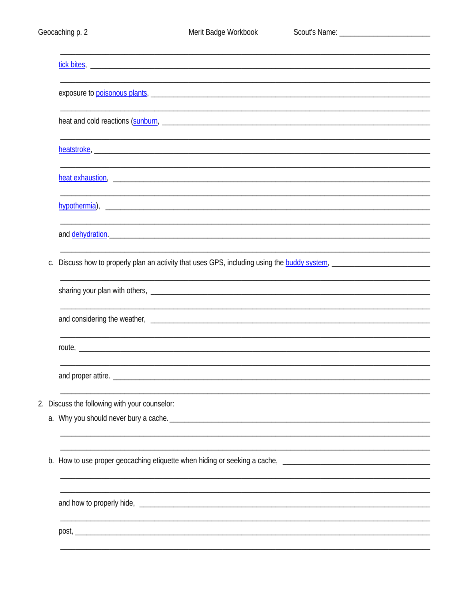|         | exposure to poisonous plants, the contract of the contract of the contract of the contract of the contract of                                                                                                                 |
|---------|-------------------------------------------------------------------------------------------------------------------------------------------------------------------------------------------------------------------------------|
|         |                                                                                                                                                                                                                               |
|         |                                                                                                                                                                                                                               |
|         |                                                                                                                                                                                                                               |
|         |                                                                                                                                                                                                                               |
|         |                                                                                                                                                                                                                               |
|         |                                                                                                                                                                                                                               |
|         |                                                                                                                                                                                                                               |
|         |                                                                                                                                                                                                                               |
|         |                                                                                                                                                                                                                               |
|         | and dehydration. The contract of the contract of the contract of the contract of the contract of the contract of the contract of the contract of the contract of the contract of the contract of the contract of the contract |
|         |                                                                                                                                                                                                                               |
| $C_{1}$ | Discuss how to properly plan an activity that uses GPS, including using the <b>buddy system</b> , <b>construer and the property plan</b>                                                                                      |
|         |                                                                                                                                                                                                                               |
|         |                                                                                                                                                                                                                               |
|         |                                                                                                                                                                                                                               |
|         |                                                                                                                                                                                                                               |
|         | ,我们也不会有什么。""我们的人,我们也不会有什么?""我们的人,我们也不会有什么?""我们的人,我们也不会有什么?""我们的人,我们也不会有什么?""我们的人                                                                                                                                              |
|         |                                                                                                                                                                                                                               |
|         |                                                                                                                                                                                                                               |
|         |                                                                                                                                                                                                                               |
|         | 2. Discuss the following with your counselor:                                                                                                                                                                                 |
|         |                                                                                                                                                                                                                               |
|         |                                                                                                                                                                                                                               |
|         |                                                                                                                                                                                                                               |
|         |                                                                                                                                                                                                                               |
|         |                                                                                                                                                                                                                               |
|         |                                                                                                                                                                                                                               |
|         |                                                                                                                                                                                                                               |
|         |                                                                                                                                                                                                                               |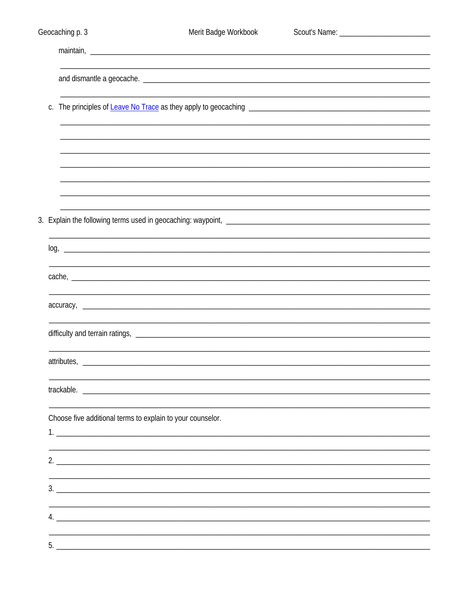| Geocaching p. 3                                            | Merit Badge Workbook                                                                                             |  |
|------------------------------------------------------------|------------------------------------------------------------------------------------------------------------------|--|
|                                                            |                                                                                                                  |  |
|                                                            |                                                                                                                  |  |
|                                                            |                                                                                                                  |  |
|                                                            |                                                                                                                  |  |
|                                                            |                                                                                                                  |  |
|                                                            |                                                                                                                  |  |
|                                                            |                                                                                                                  |  |
|                                                            | and the control of the control of the control of the control of the control of the control of the control of the |  |
|                                                            |                                                                                                                  |  |
|                                                            |                                                                                                                  |  |
|                                                            |                                                                                                                  |  |
|                                                            |                                                                                                                  |  |
|                                                            |                                                                                                                  |  |
|                                                            |                                                                                                                  |  |
| attributes,                                                |                                                                                                                  |  |
|                                                            | trackable. The contract of the contract of the contract of the contract of the contract of the contract of the   |  |
|                                                            |                                                                                                                  |  |
| Choose five additional terms to explain to your counselor. |                                                                                                                  |  |
|                                                            |                                                                                                                  |  |
|                                                            | 2.                                                                                                               |  |
|                                                            | 3.                                                                                                               |  |
|                                                            |                                                                                                                  |  |
|                                                            |                                                                                                                  |  |
| 5.                                                         |                                                                                                                  |  |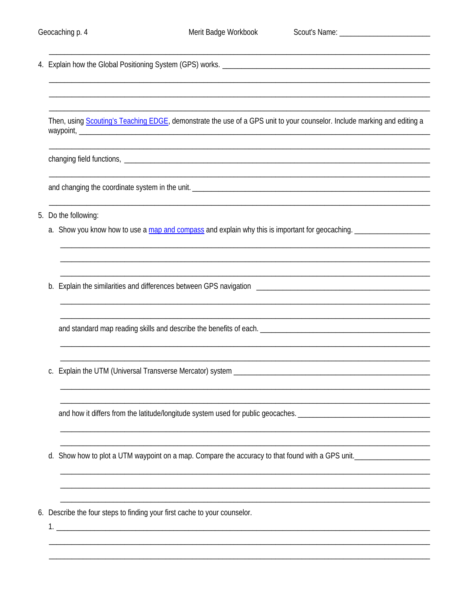Then, using Scouting's Teaching EDGE, demonstrate the use of a GPS unit to your counselor. Include marking and editing a 

changing field functions, the contract of the contract of the contract of the contract of the contract of the contract of the contract of the contract of the contract of the contract of the contract of the contract of the

- 5. Do the following:
	- a. Show you know how to use a map and compass and explain why this is important for geocaching.

and standard map reading skills and describe the benefits of each.

c. Explain the UTM (Universal Transverse Mercator) system

and how it differs from the latitude/longitude system used for public geocaches.

d. Show how to plot a UTM waypoint on a map. Compare the accuracy to that found with a GPS unit.

6. Describe the four steps to finding your first cache to your counselor.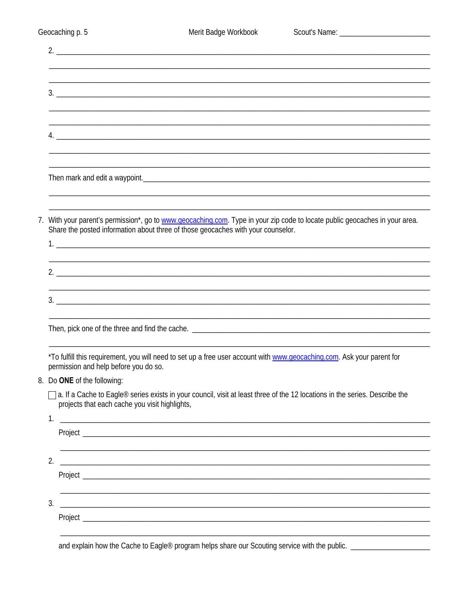| 2.                                                                                                                                                                                                              |
|-----------------------------------------------------------------------------------------------------------------------------------------------------------------------------------------------------------------|
|                                                                                                                                                                                                                 |
|                                                                                                                                                                                                                 |
|                                                                                                                                                                                                                 |
|                                                                                                                                                                                                                 |
|                                                                                                                                                                                                                 |
|                                                                                                                                                                                                                 |
|                                                                                                                                                                                                                 |
|                                                                                                                                                                                                                 |
|                                                                                                                                                                                                                 |
|                                                                                                                                                                                                                 |
|                                                                                                                                                                                                                 |
|                                                                                                                                                                                                                 |
| 7. With your parent's permission*, go to www.geocaching.com. Type in your zip code to locate public geocaches in your area.<br>Share the posted information about three of those geocaches with your counselor. |
|                                                                                                                                                                                                                 |
|                                                                                                                                                                                                                 |
|                                                                                                                                                                                                                 |
|                                                                                                                                                                                                                 |
|                                                                                                                                                                                                                 |
| 3.                                                                                                                                                                                                              |
|                                                                                                                                                                                                                 |
|                                                                                                                                                                                                                 |
|                                                                                                                                                                                                                 |
|                                                                                                                                                                                                                 |
| *To fulfill this requirement, you will need to set up a free user account with www.geocaching.com. Ask your parent for<br>permission and help before you do so.                                                 |
| Do ONE of the following:                                                                                                                                                                                        |
| a. If a Cache to Eagle® series exists in your council, visit at least three of the 12 locations in the series. Describe the                                                                                     |
| projects that each cache you visit highlights,                                                                                                                                                                  |
| 1.<br><u> 1986 - Jan Berlin, Amerikaansk politiker (* 1958)</u>                                                                                                                                                 |
|                                                                                                                                                                                                                 |
|                                                                                                                                                                                                                 |
|                                                                                                                                                                                                                 |
| 2.                                                                                                                                                                                                              |
|                                                                                                                                                                                                                 |
|                                                                                                                                                                                                                 |
| 3.<br><u> 2000 - Jan Barnett, maritant de la componentat de la componentat de la componentat de la componenta</u>                                                                                               |
|                                                                                                                                                                                                                 |
|                                                                                                                                                                                                                 |
|                                                                                                                                                                                                                 |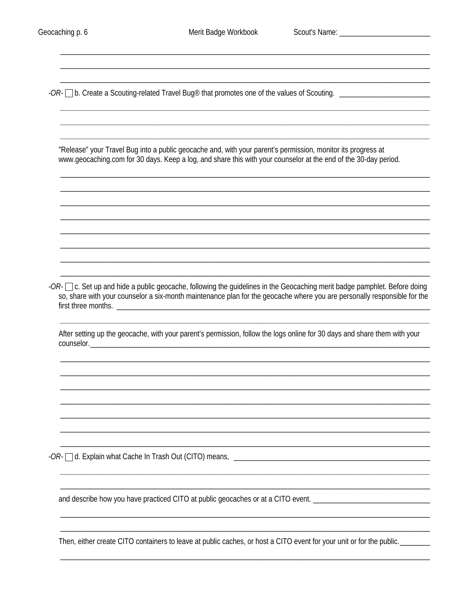Merit Badge Workbook

-OR- ib. Create a Scouting-related Travel Bug® that promotes one of the values of Scouting.

"Release" your Travel Bug into a public geocache and, with your parent's permission, monitor its progress at www.geocaching.com for 30 days. Keep a log, and share this with your counselor at the end of the 30-day period.

 $-OR \square$  c. Set up and hide a public geocache, following the guidelines in the Geocaching merit badge pamphlet. Before doing so, share with your counselor a six-month maintenance plan for the geocache where you are personally responsible for the 

After setting up the geocache, with your parent's permission, follow the logs online for 30 days and share them with your counselor.

and describe how you have practiced CITO at public geocaches or at a CITO event.

Then, either create CITO containers to leave at public caches, or host a CITO event for your unit or for the public.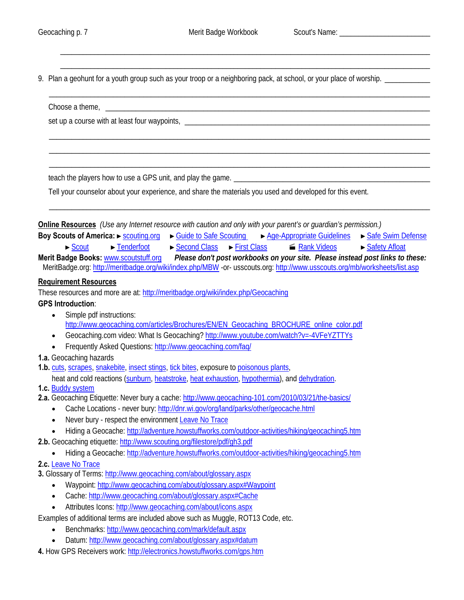<span id="page-6-0"></span> $\overline{\phantom{a}}$  , and the contribution of the contribution of the contribution of the contribution of the contribution of the contribution of the contribution of the contribution of the contribution of the contribution of the

 $\overline{\phantom{a}}$  , and the contribution of the contribution of the contribution of the contribution of the contribution of the contribution of the contribution of the contribution of the contribution of the contribution of the

9. Plan a geohunt for a youth group such as your troop or a neighboring pack, at school, or your place of worship. \_\_\_\_\_\_\_\_\_\_\_\_\_

| and the control of the control of the control of the control of the control of the control of the control of the                                                                                                                                                                                                                                                                                                                                             |  |  |
|--------------------------------------------------------------------------------------------------------------------------------------------------------------------------------------------------------------------------------------------------------------------------------------------------------------------------------------------------------------------------------------------------------------------------------------------------------------|--|--|
|                                                                                                                                                                                                                                                                                                                                                                                                                                                              |  |  |
|                                                                                                                                                                                                                                                                                                                                                                                                                                                              |  |  |
| Tell your counselor about your experience, and share the materials you used and developed for this event.                                                                                                                                                                                                                                                                                                                                                    |  |  |
| <b>Online Resources</b> (Use any Internet resource with caution and only with your parent's or guardian's permission.)<br>Boy Scouts of America: $\triangleright$ <u>scouting.org <math>\triangleright</math> Guide to Safe Scouting</u> $\triangleright$ Age-Appropriate Guidelines $\triangleright$ Safe Swim Defense<br>$\blacktriangleright$ Tenderfoot<br>► Second Class ► First Class<br>Rank Videos<br>► Safety Afloat<br>$\blacktriangleright$ Scout |  |  |
| Merit Badge Books: www.scoutstuff.org Please don't post workbooks on your site. Please instead post links to these:<br>MeritBadge.org: http://meritbadge.org/wiki/index.php/MBW -or- usscouts.org: http://www.usscouts.org/mb/worksheets/list.asp                                                                                                                                                                                                            |  |  |
| <b>Requirement Resources</b>                                                                                                                                                                                                                                                                                                                                                                                                                                 |  |  |
| These resources and more are at: http://meritbadge.org/wiki/index.php/Geocaching                                                                                                                                                                                                                                                                                                                                                                             |  |  |
| <b>GPS Introduction:</b>                                                                                                                                                                                                                                                                                                                                                                                                                                     |  |  |
| Simple pdf instructions:                                                                                                                                                                                                                                                                                                                                                                                                                                     |  |  |
| http://www.qeocaching.com/articles/Brochures/EN/EN_Geocaching_BROCHURE_online_color.pdf                                                                                                                                                                                                                                                                                                                                                                      |  |  |
| Geocaching.com video: What Is Geocaching? http://www.youtube.com/watch?v=-4VFeYZTTYs<br>$\bullet$                                                                                                                                                                                                                                                                                                                                                            |  |  |
| Frequently Asked Questions: http://www.geocaching.com/faq/                                                                                                                                                                                                                                                                                                                                                                                                   |  |  |
| 1.a. Geocaching hazards                                                                                                                                                                                                                                                                                                                                                                                                                                      |  |  |
| 1.b. cuts, scrapes, snakebite, insect stings, tick bites, exposure to poisonous plants,                                                                                                                                                                                                                                                                                                                                                                      |  |  |
| heat and cold reactions (sunburn, heatstroke, heat exhaustion, hypothermia), and dehydration.                                                                                                                                                                                                                                                                                                                                                                |  |  |
| 1.c. <b>Buddy</b> system                                                                                                                                                                                                                                                                                                                                                                                                                                     |  |  |
| 2.a. Geocaching Etiquette: Never bury a cache: http://www.geocaching-101.com/2010/03/21/the-basics/                                                                                                                                                                                                                                                                                                                                                          |  |  |
| Cache Locations - never bury: http://dnr.wi.gov/org/land/parks/other/geocache.html<br>$\bullet$                                                                                                                                                                                                                                                                                                                                                              |  |  |
| Never bury - respect the environment Leave No Trace<br>$\bullet$                                                                                                                                                                                                                                                                                                                                                                                             |  |  |
| Hiding a Geocache: http://adventure.howstuffworks.com/outdoor-activities/hiking/geocaching5.htm<br>$\bullet$                                                                                                                                                                                                                                                                                                                                                 |  |  |
| 2.b. Geocaching etiquette: http://www.scouting.org/filestore/pdf/gh3.pdf                                                                                                                                                                                                                                                                                                                                                                                     |  |  |
| Hiding a Geocache: http://adventure.howstuffworks.com/outdoor-activities/hiking/geocaching5.htm                                                                                                                                                                                                                                                                                                                                                              |  |  |
| 2.c. Leave No Trace                                                                                                                                                                                                                                                                                                                                                                                                                                          |  |  |
| 3. Glossary of Terms: http://www.geocaching.com/about/glossary.aspx                                                                                                                                                                                                                                                                                                                                                                                          |  |  |
| Waypoint: http://www.qeocaching.com/about/qlossary.aspx#Waypoint                                                                                                                                                                                                                                                                                                                                                                                             |  |  |
| Cache: http://www.geocaching.com/about/glossary.aspx#Cache                                                                                                                                                                                                                                                                                                                                                                                                   |  |  |
| Attributes Icons: http://www.geocaching.com/about/icons.aspx<br>$\bullet$                                                                                                                                                                                                                                                                                                                                                                                    |  |  |
| Examples of additional terms are included above such as Muggle, ROT13 Code, etc.                                                                                                                                                                                                                                                                                                                                                                             |  |  |
| Benchmarks: http://www.geocaching.com/mark/default.aspx                                                                                                                                                                                                                                                                                                                                                                                                      |  |  |
| Datum: http://www.geocaching.com/about/glossary.aspx#datum                                                                                                                                                                                                                                                                                                                                                                                                   |  |  |
| 4. How GPS Receivers work: http://electronics.howstuffworks.com/qps.htm                                                                                                                                                                                                                                                                                                                                                                                      |  |  |